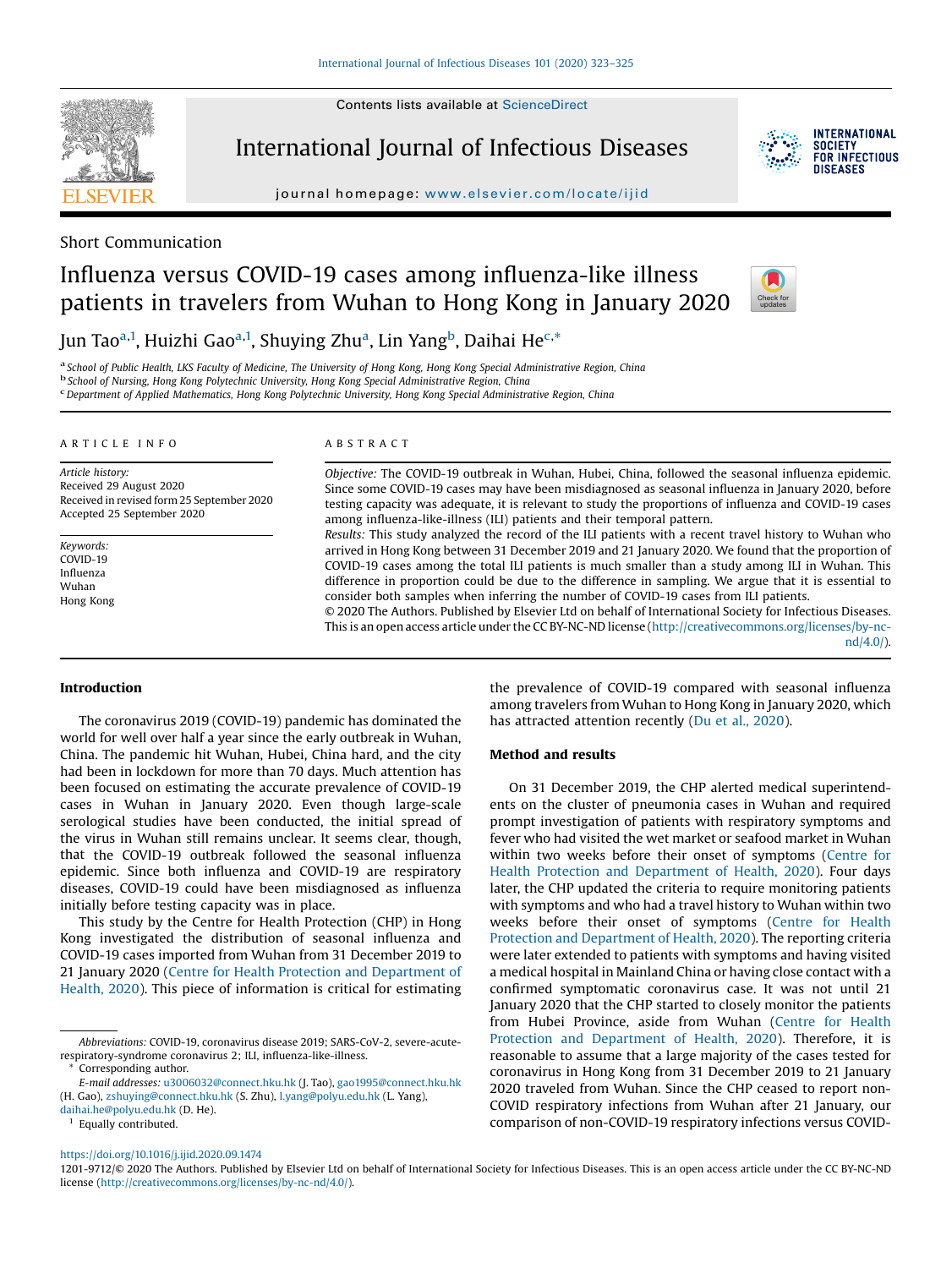Contents lists available at [ScienceDirect](http://www.sciencedirect.com/science/journal/12019712)



International Journal of Infectious Diseases

journal homepage: <www.elsevier.com/locate/ijid>

## Short Communication

# Influenza versus COVID-19 cases among influenza-like illness patients in travelers from Wuhan to Hong Kong in January 2020



**INTERNATIONAL SOCIETY** FOR INFECTIOUS DISFASES

Jun Tao<sup>a,1</sup>, Huizhi Gao<sup>a,1</sup>, Shuying Zhu<sup>a</sup>, Lin Yang<sup>b</sup>, Daihai He<sup>c,\*</sup>

<sup>a</sup> School of Public Health, LKS Faculty of Medicine, The University of Hong Kong, Hong Kong Special Administrative Region, China<br><sup>b</sup> School of Nursing, Hong Kong Polytechnic University, Hong Kong Special Administrative Re

Department of Applied Mathematics, Hong Kong Polytechnic University, Hong Kong Special Administrative Region, China

#### A R T I C L E I N F O

Article history: Received 29 August 2020 Received in revised form 25 September 2020 Accepted 25 September 2020

Keywords: COVID-19 Influenza Wuhan Hong Kong

#### A B S T R A C T

Objective: The COVID-19 outbreak in Wuhan, Hubei, China, followed the seasonal influenza epidemic. Since some COVID-19 cases may have been misdiagnosed as seasonal influenza in January 2020, before testing capacity was adequate, it is relevant to study the proportions of influenza and COVID-19 cases among influenza-like-illness (ILI) patients and their temporal pattern.

Results: This study analyzed the record of the ILI patients with a recent travel history to Wuhan who arrived in Hong Kong between 31 December 2019 and 21 January 2020. We found that the proportion of COVID-19 cases among the total ILI patients is much smaller than a study among ILI in Wuhan. This difference in proportion could be due to the difference in sampling. We argue that it is essential to consider both samples when inferring the number of COVID-19 cases from ILI patients.

© 2020 The Authors. Published by Elsevier Ltd on behalf of International Society for Infectious Diseases. This is an open access article under the CC BY-NC-ND license [\(http://creativecommons.org/licenses/by-nc](http://creativecommons.org/licenses/by-nc-nd/4.0/)[nd/4.0/](http://creativecommons.org/licenses/by-nc-nd/4.0/)).

#### Introduction

The coronavirus 2019 (COVID-19) pandemic has dominated the world for well over half a year since the early outbreak in Wuhan, China. The pandemic hit Wuhan, Hubei, China hard, and the city had been in lockdown for more than 70 days. Much attention has been focused on estimating the accurate prevalence of COVID-19 cases in Wuhan in January 2020. Even though large-scale serological studies have been conducted, the initial spread of the virus in Wuhan still remains unclear. It seems clear, though, that the COVID-19 outbreak followed the seasonal influenza epidemic. Since both influenza and COVID-19 are respiratory diseases, COVID-19 could have been misdiagnosed as influenza initially before testing capacity was in place.

This study by the Centre for Health Protection (CHP) in Hong Kong investigated the distribution of seasonal influenza and COVID-19 cases imported from Wuhan from 31 December 2019 to 21 January 2020 (Centre for Health Protection and [Department](#page-2-0) of [Health,](#page-2-0) 2020). This piece of information is critical for estimating

<sup>1</sup> Equally contributed.

the prevalence of COVID-19 compared with seasonal influenza among travelers from Wuhan to Hong Kong in January 2020, which has attracted attention recently (Du et al., [2020\)](#page-2-0).

## Method and results

On 31 December 2019, the CHP alerted medical superintendents on the cluster of pneumonia cases in Wuhan and required prompt investigation of patients with respiratory symptoms and fever who had visited the wet market or seafood market in Wuhan within two weeks before their onset of symptoms ([Centre](#page-2-0) for Health Protection and [Department](#page-2-0) of Health, 2020). Four days later, the CHP updated the criteria to require monitoring patients with symptoms and who had a travel history to Wuhan within two weeks before their onset of symptoms [\(Centre](#page-2-0) for Health Protection and [Department](#page-2-0) of Health, 2020). The reporting criteria were later extended to patients with symptoms and having visited a medical hospital in Mainland China or having close contact with a confirmed symptomatic coronavirus case. It was not until 21 January 2020 that the CHP started to closely monitor the patients from Hubei Province, aside from Wuhan (Centre for [Health](#page-2-0) Protection and [Department](#page-2-0) of Health, 2020). Therefore, it is reasonable to assume that a large majority of the cases tested for coronavirus in Hong Kong from 31 December 2019 to 21 January 2020 traveled from Wuhan. Since the CHP ceased to report non-COVID respiratory infections from Wuhan after 21 January, our comparison of non-COVID-19 respiratory infections versus COVID-

1201-9712/© 2020 The Authors. Published by Elsevier Ltd on behalf of International Society for Infectious Diseases. This is an open access article under the CC BY-NC-ND license [\(http://creativecommons.org/licenses/by-nc-nd/4.0/\)](http://creativecommons.org/licenses/by-nc-nd/4.0/).

Abbreviations: COVID-19, coronavirus disease 2019; SARS-CoV-2, severe-acuterespiratory-syndrome coronavirus 2; ILI, influenza-like-illness.

Corresponding author.

E-mail addresses: [u3006032@connect.hku.hk](mailto:u3006032@connect.hku.hk) (J. Tao), [gao1995@connect.hku.hk](mailto:gao1995@connect.hku.hk) (H. Gao), [zshuying@connect.hku.hk](mailto:zshuying@connect.hku.hk) (S. Zhu), [l.yang@polyu.edu.hk](mailto:l.yang@polyu.edu.hk) (L. Yang), [daihai.he@polyu.edu.hk](mailto:daihai.he@polyu.edu.hk) (D. He).

<https://doi.org/10.1016/j.ijid.2020.09.1474>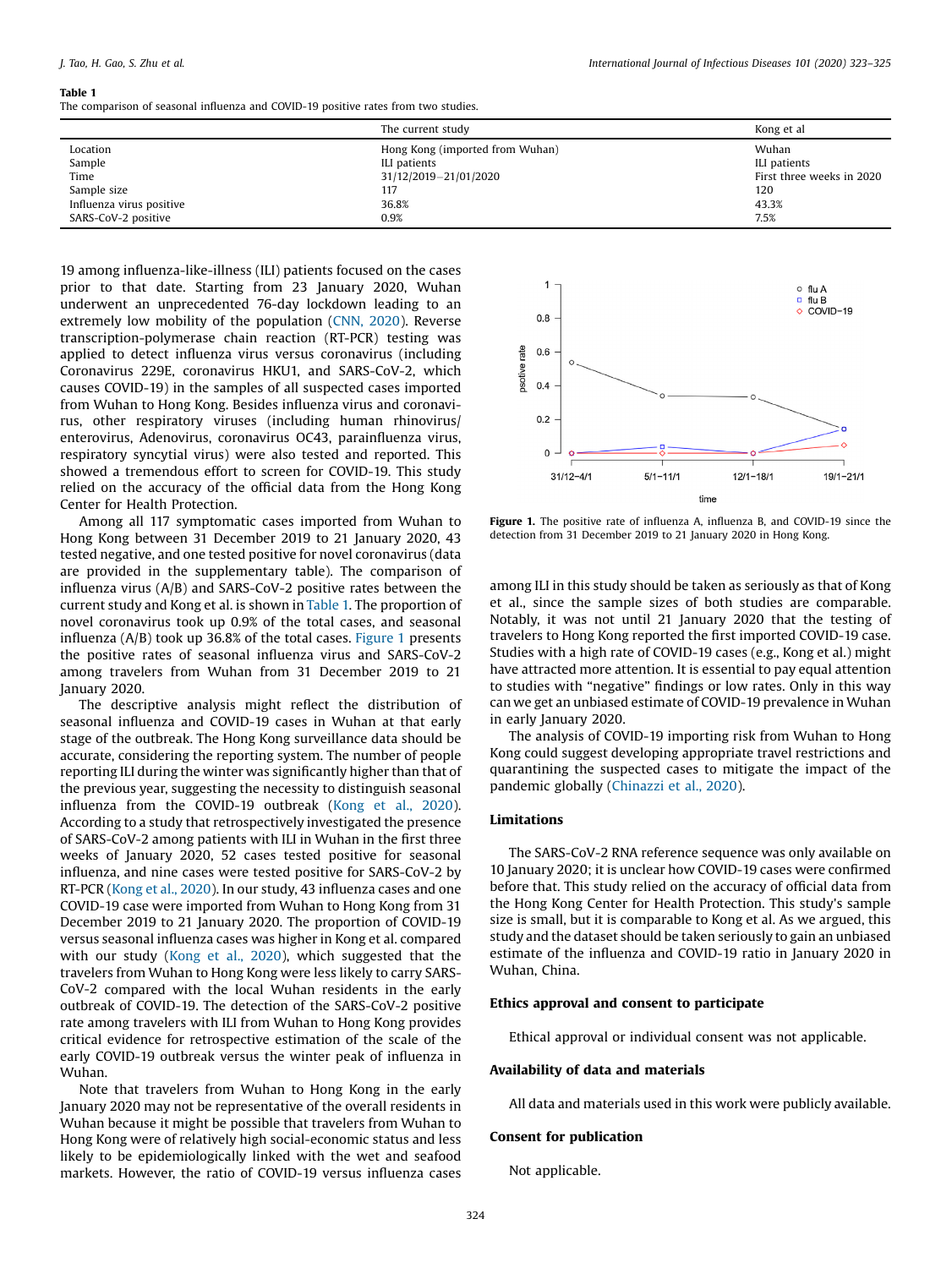#### Table 1

The comparison of seasonal influenza and COVID-19 positive rates from two studies.

|                          | The current study               | Kong et al                |
|--------------------------|---------------------------------|---------------------------|
| Location                 | Hong Kong (imported from Wuhan) | Wuhan                     |
| Sample                   | ILI patients                    | ILI patients              |
| Time                     | 31/12/2019-21/01/2020           | First three weeks in 2020 |
| Sample size              | 117                             | 120                       |
| Influenza virus positive | 36.8%                           | 43.3%                     |
| SARS-CoV-2 positive      | 0.9%                            | 7.5%                      |

19 among influenza-like-illness (ILI) patients focused on the cases prior to that date. Starting from 23 January 2020, Wuhan underwent an unprecedented 76-day lockdown leading to an extremely low mobility of the population [\(CNN,](#page-2-0) 2020). Reverse transcription-polymerase chain reaction (RT-PCR) testing was applied to detect influenza virus versus coronavirus (including Coronavirus 229E, coronavirus HKU1, and SARS-CoV-2, which causes COVID-19) in the samples of all suspected cases imported from Wuhan to Hong Kong. Besides influenza virus and coronavirus, other respiratory viruses (including human rhinovirus/ enterovirus, Adenovirus, coronavirus OC43, parainfluenza virus, respiratory syncytial virus) were also tested and reported. This showed a tremendous effort to screen for COVID-19. This study relied on the accuracy of the official data from the Hong Kong Center for Health Protection.

Among all 117 symptomatic cases imported from Wuhan to Hong Kong between 31 December 2019 to 21 January 2020, 43 tested negative, and one tested positive for novel coronavirus (data are provided in the supplementary table). The comparison of influenza virus (A/B) and SARS-CoV-2 positive rates between the current study and Kong et al. is shown in Table 1. The proportion of novel coronavirus took up 0.9% of the total cases, and seasonal influenza (A/B) took up 36.8% of the total cases. Figure 1 presents the positive rates of seasonal influenza virus and SARS-CoV-2 among travelers from Wuhan from 31 December 2019 to 21 January 2020.

The descriptive analysis might reflect the distribution of seasonal influenza and COVID-19 cases in Wuhan at that early stage of the outbreak. The Hong Kong surveillance data should be accurate, considering the reporting system. The number of people reporting ILI during the winter was significantly higher than that of the previous year, suggesting the necessity to distinguish seasonal influenza from the COVID-19 outbreak ([Kong](#page-2-0) et al., 2020). According to a study that retrospectively investigated the presence of SARS-CoV-2 among patients with ILI in Wuhan in the first three weeks of January 2020, 52 cases tested positive for seasonal influenza, and nine cases were tested positive for SARS-CoV-2 by RT-PCR [\(Kong](#page-2-0) et al., 2020). In our study, 43 influenza cases and one COVID-19 case were imported from Wuhan to Hong Kong from 31 December 2019 to 21 January 2020. The proportion of COVID-19 versus seasonal influenza cases was higher in Kong et al. compared with our study [\(Kong](#page-2-0) et al., 2020), which suggested that the travelers from Wuhan to Hong Kong were less likely to carry SARS-CoV-2 compared with the local Wuhan residents in the early outbreak of COVID-19. The detection of the SARS-CoV-2 positive rate among travelers with ILI from Wuhan to Hong Kong provides critical evidence for retrospective estimation of the scale of the early COVID-19 outbreak versus the winter peak of influenza in Wuhan.

Note that travelers from Wuhan to Hong Kong in the early January 2020 may not be representative of the overall residents in Wuhan because it might be possible that travelers from Wuhan to Hong Kong were of relatively high social-economic status and less likely to be epidemiologically linked with the wet and seafood markets. However, the ratio of COVID-19 versus influenza cases



Figure 1. The positive rate of influenza A, influenza B, and COVID-19 since the detection from 31 December 2019 to 21 January 2020 in Hong Kong.

among ILI in this study should be taken as seriously as that of Kong et al., since the sample sizes of both studies are comparable. Notably, it was not until 21 January 2020 that the testing of travelers to Hong Kong reported the first imported COVID-19 case. Studies with a high rate of COVID-19 cases (e.g., Kong et al.) might have attracted more attention. It is essential to pay equal attention to studies with "negative" findings or low rates. Only in this way can we get an unbiased estimate of COVID-19 prevalence in Wuhan in early January 2020.

The analysis of COVID-19 importing risk from Wuhan to Hong Kong could suggest developing appropriate travel restrictions and quarantining the suspected cases to mitigate the impact of the pandemic globally [\(Chinazzi](#page-2-0) et al., 2020).

#### Limitations

The SARS-CoV-2 RNA reference sequence was only available on 10 January 2020; it is unclear how COVID-19 cases were confirmed before that. This study relied on the accuracy of official data from the Hong Kong Center for Health Protection. This study's sample size is small, but it is comparable to Kong et al. As we argued, this study and the dataset should be taken seriously to gain an unbiased estimate of the influenza and COVID-19 ratio in January 2020 in Wuhan, China.

#### Ethics approval and consent to participate

Ethical approval or individual consent was not applicable.

#### Availability of data and materials

All data and materials used in this work were publicly available.

#### Consent for publication

Not applicable.